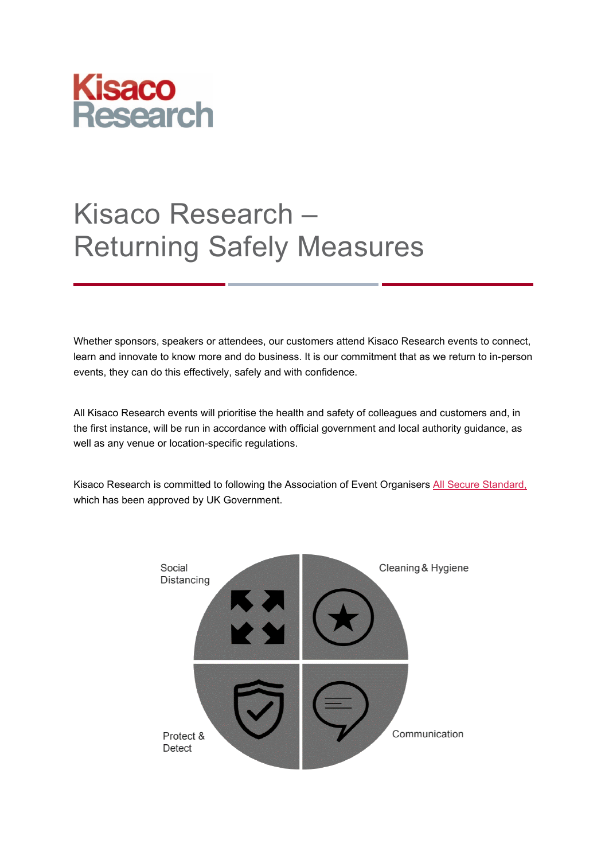

# Kisaco Research – Returning Safely Measures

Whether sponsors, speakers or attendees, our customers attend Kisaco Research events to connect, learn and innovate to know more and do business. It is our commitment that as we return to in-person events, they can do this effectively, safely and with confidence.

All Kisaco Research events will prioritise the health and safety of colleagues and customers and, in the first instance, will be run in accordance with official government and local authority guidance, as well as any venue or location-specific regulations.

Kisaco Research is committed to following the Association of Event Organisers [All Secure Standard,](https://cdn.asp.events/CLIENT_AEO_6F6DAB1E_5056_B739_5434FCD30E5F9143/sites/AEO/media/covid19/Industry%20All%20Secure%20Standard..pdf) which has been approved by UK Government.